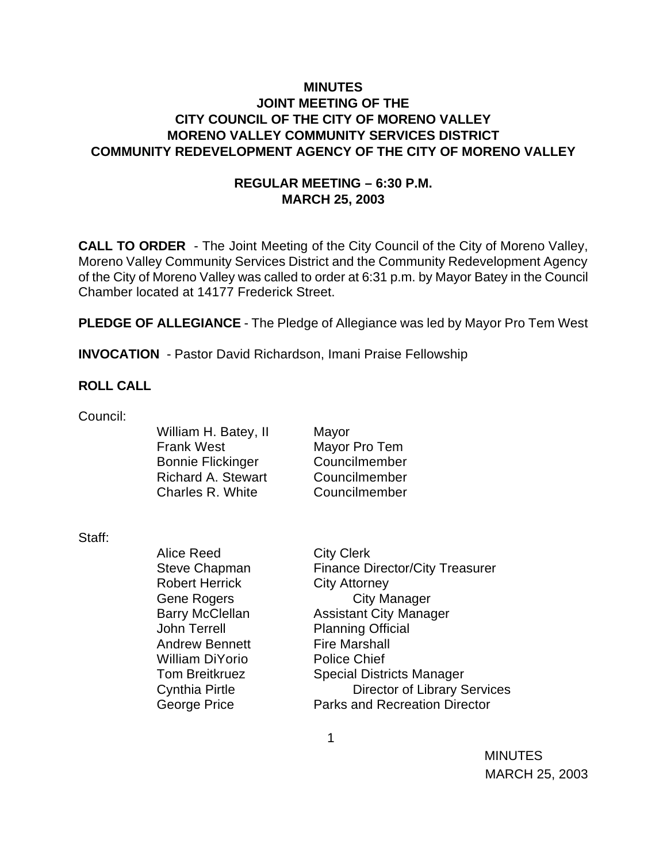### **MINUTES JOINT MEETING OF THE CITY COUNCIL OF THE CITY OF MORENO VALLEY MORENO VALLEY COMMUNITY SERVICES DISTRICT COMMUNITY REDEVELOPMENT AGENCY OF THE CITY OF MORENO VALLEY**

#### **REGULAR MEETING – 6:30 P.M. MARCH 25, 2003**

**CALL TO ORDER** - The Joint Meeting of the City Council of the City of Moreno Valley, Moreno Valley Community Services District and the Community Redevelopment Agency of the City of Moreno Valley was called to order at 6:31 p.m. by Mayor Batey in the Council Chamber located at 14177 Frederick Street.

**PLEDGE OF ALLEGIANCE** - The Pledge of Allegiance was led by Mayor Pro Tem West

**INVOCATION** - Pastor David Richardson, Imani Praise Fellowship

#### **ROLL CALL**

Council:

William H. Batey, II Mayor Frank West Mayor Pro Tem Bonnie Flickinger Councilmember Richard A. Stewart Councilmember Charles R. White Councilmember

Staff:

Alice Reed City Clerk Robert Herrick City Attorney John Terrell Planning Official Andrew Bennett Fire Marshall William DiYorio Police Chief

Steve Chapman Finance Director/City Treasurer Gene Rogers **City Manager** Barry McClellan **Assistant City Manager** Tom Breitkruez Special Districts Manager Cynthia Pirtle Director of Library Services George Price **Parks** and Recreation Director

 $\sim$  1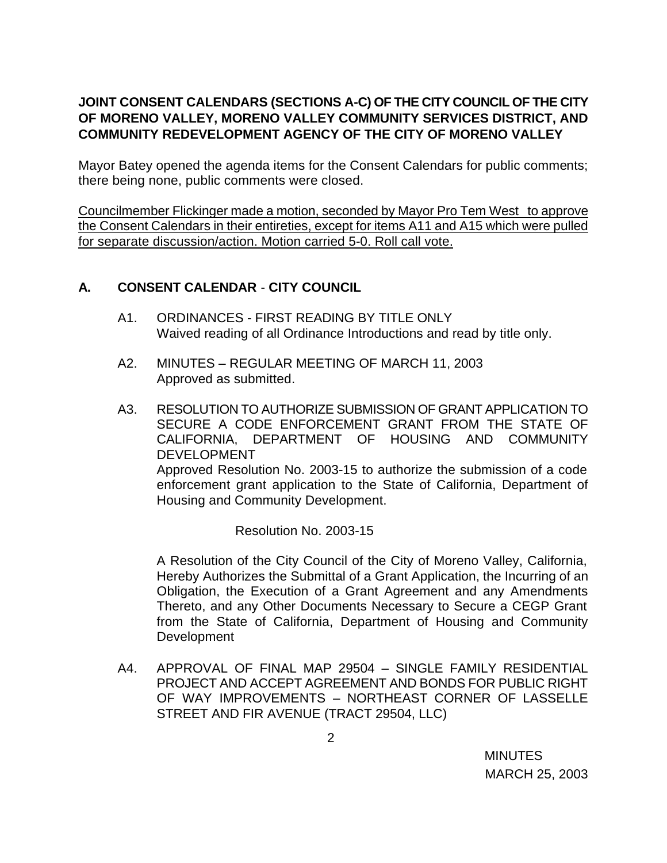# **JOINT CONSENT CALENDARS (SECTIONS A-C) OF THE CITY COUNCIL OF THE CITY OF MORENO VALLEY, MORENO VALLEY COMMUNITY SERVICES DISTRICT, AND COMMUNITY REDEVELOPMENT AGENCY OF THE CITY OF MORENO VALLEY**

Mayor Batey opened the agenda items for the Consent Calendars for public comments; there being none, public comments were closed.

Councilmember Flickinger made a motion, seconded by Mayor Pro Tem West to approve the Consent Calendars in their entireties, except for items A11 and A15 which were pulled for separate discussion/action. Motion carried 5-0. Roll call vote.

# **A. CONSENT CALENDAR** - **CITY COUNCIL**

- A1. ORDINANCES FIRST READING BY TITLE ONLY Waived reading of all Ordinance Introductions and read by title only.
- A2. MINUTES REGULAR MEETING OF MARCH 11, 2003 Approved as submitted.
- A3. RESOLUTION TO AUTHORIZE SUBMISSION OF GRANT APPLICATION TO SECURE A CODE ENFORCEMENT GRANT FROM THE STATE OF CALIFORNIA, DEPARTMENT OF HOUSING AND COMMUNITY DEVELOPMENT Approved Resolution No. 2003-15 to authorize the submission of a code enforcement grant application to the State of California, Department of Housing and Community Development.

Resolution No. 2003-15

A Resolution of the City Council of the City of Moreno Valley, California, Hereby Authorizes the Submittal of a Grant Application, the Incurring of an Obligation, the Execution of a Grant Agreement and any Amendments Thereto, and any Other Documents Necessary to Secure a CEGP Grant from the State of California, Department of Housing and Community Development

A4. APPROVAL OF FINAL MAP 29504 – SINGLE FAMILY RESIDENTIAL PROJECT AND ACCEPT AGREEMENT AND BONDS FOR PUBLIC RIGHT OF WAY IMPROVEMENTS – NORTHEAST CORNER OF LASSELLE STREET AND FIR AVENUE (TRACT 29504, LLC)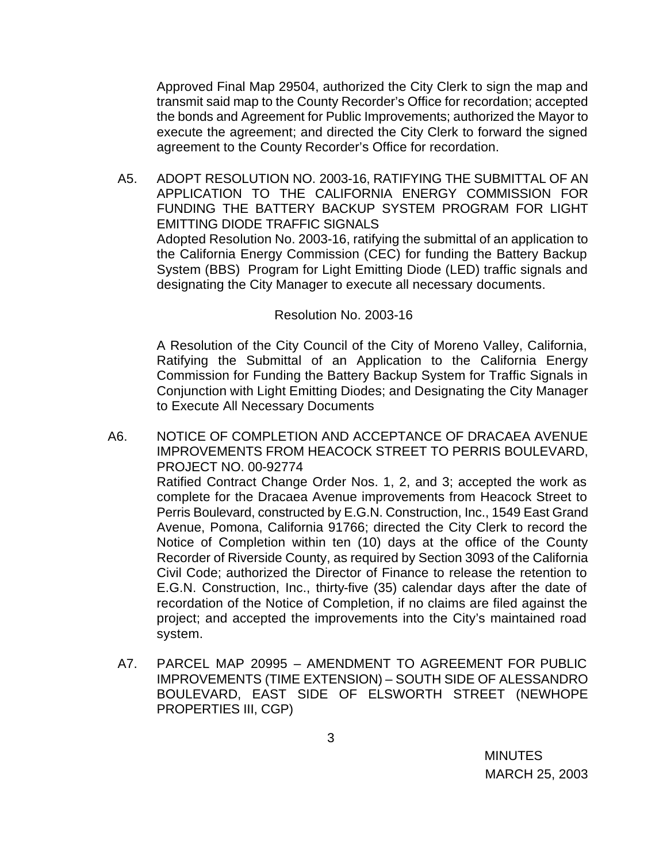Approved Final Map 29504, authorized the City Clerk to sign the map and transmit said map to the County Recorder's Office for recordation; accepted the bonds and Agreement for Public Improvements; authorized the Mayor to execute the agreement; and directed the City Clerk to forward the signed agreement to the County Recorder's Office for recordation.

A5. ADOPT RESOLUTION NO. 2003-16, RATIFYING THE SUBMITTAL OF AN APPLICATION TO THE CALIFORNIA ENERGY COMMISSION FOR FUNDING THE BATTERY BACKUP SYSTEM PROGRAM FOR LIGHT EMITTING DIODE TRAFFIC SIGNALS Adopted Resolution No. 2003-16, ratifying the submittal of an application to the California Energy Commission (CEC) for funding the Battery Backup System (BBS) Program for Light Emitting Diode (LED) traffic signals and designating the City Manager to execute all necessary documents.

#### Resolution No. 2003-16

A Resolution of the City Council of the City of Moreno Valley, California, Ratifying the Submittal of an Application to the California Energy Commission for Funding the Battery Backup System for Traffic Signals in Conjunction with Light Emitting Diodes; and Designating the City Manager to Execute All Necessary Documents

A6. NOTICE OF COMPLETION AND ACCEPTANCE OF DRACAEA AVENUE IMPROVEMENTS FROM HEACOCK STREET TO PERRIS BOULEVARD, PROJECT NO. 00-92774

Ratified Contract Change Order Nos. 1, 2, and 3; accepted the work as complete for the Dracaea Avenue improvements from Heacock Street to Perris Boulevard, constructed by E.G.N. Construction, Inc., 1549 East Grand Avenue, Pomona, California 91766; directed the City Clerk to record the Notice of Completion within ten (10) days at the office of the County Recorder of Riverside County, as required by Section 3093 of the California Civil Code; authorized the Director of Finance to release the retention to E.G.N. Construction, Inc., thirty-five (35) calendar days after the date of recordation of the Notice of Completion, if no claims are filed against the project; and accepted the improvements into the City's maintained road system.

A7. PARCEL MAP 20995 – AMENDMENT TO AGREEMENT FOR PUBLIC IMPROVEMENTS (TIME EXTENSION) – SOUTH SIDE OF ALESSANDRO BOULEVARD, EAST SIDE OF ELSWORTH STREET (NEWHOPE PROPERTIES III, CGP)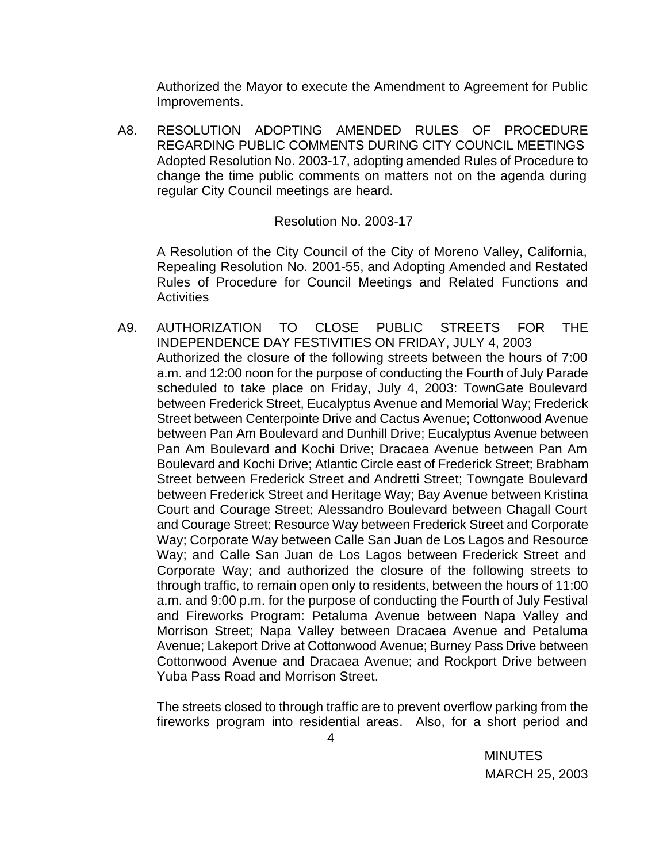Authorized the Mayor to execute the Amendment to Agreement for Public Improvements.

A8. RESOLUTION ADOPTING AMENDED RULES OF PROCEDURE REGARDING PUBLIC COMMENTS DURING CITY COUNCIL MEETINGS Adopted Resolution No. 2003-17, adopting amended Rules of Procedure to change the time public comments on matters not on the agenda during regular City Council meetings are heard.

#### Resolution No. 2003-17

A Resolution of the City Council of the City of Moreno Valley, California, Repealing Resolution No. 2001-55, and Adopting Amended and Restated Rules of Procedure for Council Meetings and Related Functions and **Activities** 

A9. AUTHORIZATION TO CLOSE PUBLIC STREETS FOR THE INDEPENDENCE DAY FESTIVITIES ON FRIDAY, JULY 4, 2003 Authorized the closure of the following streets between the hours of 7:00 a.m. and 12:00 noon for the purpose of conducting the Fourth of July Parade scheduled to take place on Friday, July 4, 2003: TownGate Boulevard between Frederick Street, Eucalyptus Avenue and Memorial Way; Frederick Street between Centerpointe Drive and Cactus Avenue; Cottonwood Avenue between Pan Am Boulevard and Dunhill Drive; Eucalyptus Avenue between Pan Am Boulevard and Kochi Drive; Dracaea Avenue between Pan Am Boulevard and Kochi Drive; Atlantic Circle east of Frederick Street; Brabham Street between Frederick Street and Andretti Street; Towngate Boulevard between Frederick Street and Heritage Way; Bay Avenue between Kristina Court and Courage Street; Alessandro Boulevard between Chagall Court and Courage Street; Resource Way between Frederick Street and Corporate Way; Corporate Way between Calle San Juan de Los Lagos and Resource Way; and Calle San Juan de Los Lagos between Frederick Street and Corporate Way; and authorized the closure of the following streets to through traffic, to remain open only to residents, between the hours of 11:00 a.m. and 9:00 p.m. for the purpose of conducting the Fourth of July Festival and Fireworks Program: Petaluma Avenue between Napa Valley and Morrison Street; Napa Valley between Dracaea Avenue and Petaluma Avenue; Lakeport Drive at Cottonwood Avenue; Burney Pass Drive between Cottonwood Avenue and Dracaea Avenue; and Rockport Drive between Yuba Pass Road and Morrison Street.

The streets closed to through traffic are to prevent overflow parking from the fireworks program into residential areas. Also, for a short period and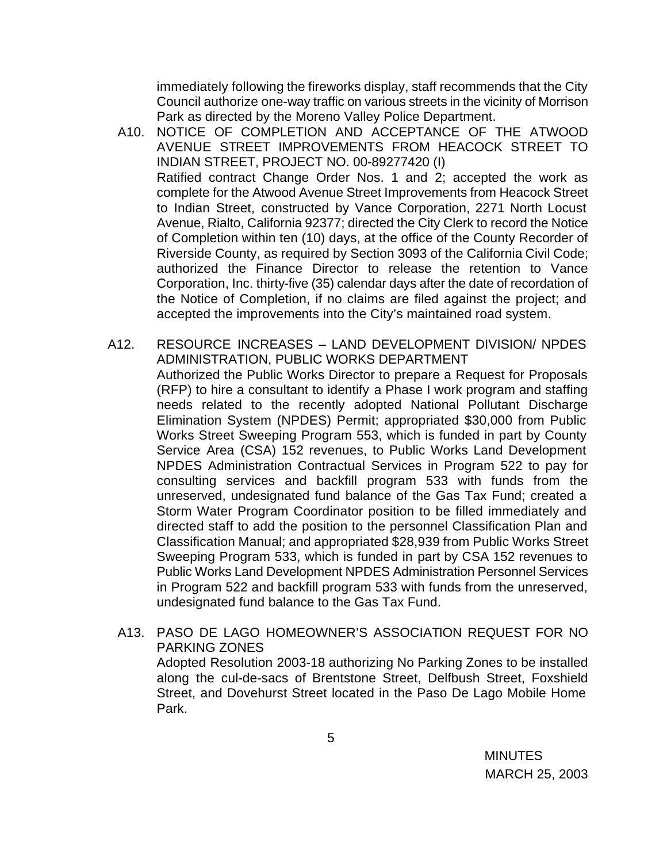immediately following the fireworks display, staff recommends that the City Council authorize one-way traffic on various streets in the vicinity of Morrison Park as directed by the Moreno Valley Police Department.

- A10. NOTICE OF COMPLETION AND ACCEPTANCE OF THE ATWOOD AVENUE STREET IMPROVEMENTS FROM HEACOCK STREET TO INDIAN STREET, PROJECT NO. 00-89277420 (I) Ratified contract Change Order Nos. 1 and 2; accepted the work as complete for the Atwood Avenue Street Improvements from Heacock Street to Indian Street, constructed by Vance Corporation, 2271 North Locust Avenue, Rialto, California 92377; directed the City Clerk to record the Notice of Completion within ten (10) days, at the office of the County Recorder of Riverside County, as required by Section 3093 of the California Civil Code; authorized the Finance Director to release the retention to Vance Corporation, Inc. thirty-five (35) calendar days after the date of recordation of the Notice of Completion, if no claims are filed against the project; and accepted the improvements into the City's maintained road system.
- A12. RESOURCE INCREASES LAND DEVELOPMENT DIVISION/ NPDES ADMINISTRATION, PUBLIC WORKS DEPARTMENT Authorized the Public Works Director to prepare a Request for Proposals (RFP) to hire a consultant to identify a Phase I work program and staffing needs related to the recently adopted National Pollutant Discharge Elimination System (NPDES) Permit; appropriated \$30,000 from Public Works Street Sweeping Program 553, which is funded in part by County Service Area (CSA) 152 revenues, to Public Works Land Development NPDES Administration Contractual Services in Program 522 to pay for consulting services and backfill program 533 with funds from the unreserved, undesignated fund balance of the Gas Tax Fund; created a Storm Water Program Coordinator position to be filled immediately and directed staff to add the position to the personnel Classification Plan and Classification Manual; and appropriated \$28,939 from Public Works Street Sweeping Program 533, which is funded in part by CSA 152 revenues to Public Works Land Development NPDES Administration Personnel Services in Program 522 and backfill program 533 with funds from the unreserved, undesignated fund balance to the Gas Tax Fund.
	- A13. PASO DE LAGO HOMEOWNER'S ASSOCIATION REQUEST FOR NO PARKING ZONES

Adopted Resolution 2003-18 authorizing No Parking Zones to be installed along the cul-de-sacs of Brentstone Street, Delfbush Street, Foxshield Street, and Dovehurst Street located in the Paso De Lago Mobile Home Park.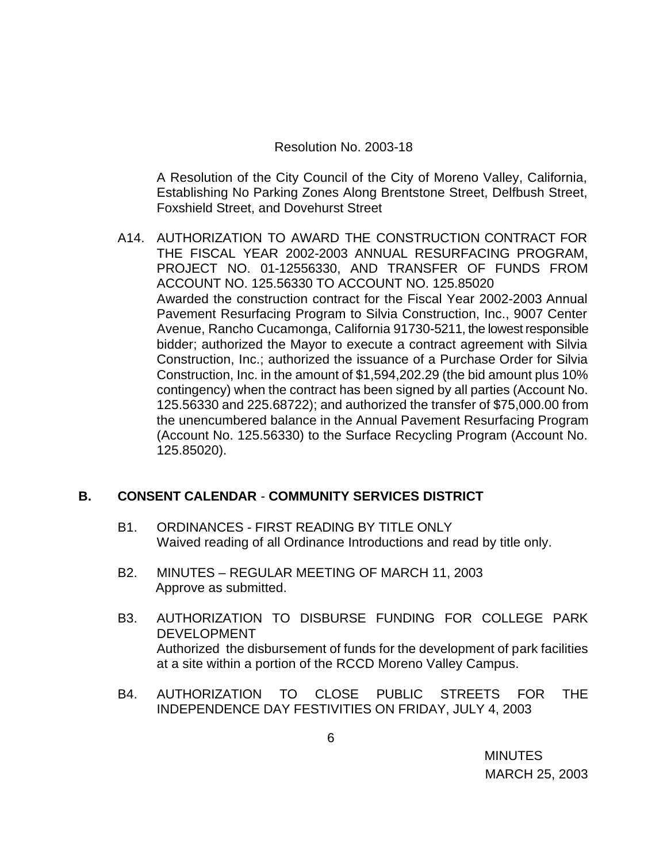#### Resolution No. 2003-18

A Resolution of the City Council of the City of Moreno Valley, California, Establishing No Parking Zones Along Brentstone Street, Delfbush Street, Foxshield Street, and Dovehurst Street

A14. AUTHORIZATION TO AWARD THE CONSTRUCTION CONTRACT FOR THE FISCAL YEAR 2002-2003 ANNUAL RESURFACING PROGRAM, PROJECT NO. 01-12556330, AND TRANSFER OF FUNDS FROM ACCOUNT NO. 125.56330 TO ACCOUNT NO. 125.85020 Awarded the construction contract for the Fiscal Year 2002-2003 Annual Pavement Resurfacing Program to Silvia Construction, Inc., 9007 Center Avenue, Rancho Cucamonga, California 91730-5211, the lowest responsible bidder; authorized the Mayor to execute a contract agreement with Silvia Construction, Inc.; authorized the issuance of a Purchase Order for Silvia Construction, Inc. in the amount of \$1,594,202.29 (the bid amount plus 10% contingency) when the contract has been signed by all parties (Account No. 125.56330 and 225.68722); and authorized the transfer of \$75,000.00 from the unencumbered balance in the Annual Pavement Resurfacing Program (Account No. 125.56330) to the Surface Recycling Program (Account No. 125.85020).

## **B. CONSENT CALENDAR** - **COMMUNITY SERVICES DISTRICT**

- B1. ORDINANCES FIRST READING BY TITLE ONLY Waived reading of all Ordinance Introductions and read by title only.
- B2. MINUTES REGULAR MEETING OF MARCH 11, 2003 Approve as submitted.
- B3. AUTHORIZATION TO DISBURSE FUNDING FOR COLLEGE PARK DEVELOPMENT Authorized the disbursement of funds for the development of park facilities at a site within a portion of the RCCD Moreno Valley Campus.
- B4. AUTHORIZATION TO CLOSE PUBLIC STREETS FOR THE INDEPENDENCE DAY FESTIVITIES ON FRIDAY, JULY 4, 2003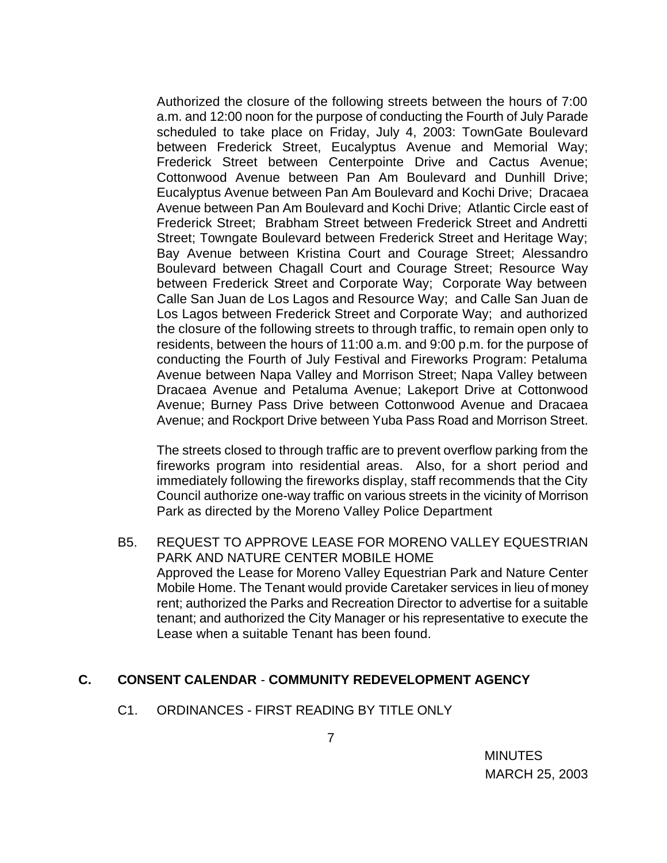Authorized the closure of the following streets between the hours of 7:00 a.m. and 12:00 noon for the purpose of conducting the Fourth of July Parade scheduled to take place on Friday, July 4, 2003: TownGate Boulevard between Frederick Street, Eucalyptus Avenue and Memorial Way; Frederick Street between Centerpointe Drive and Cactus Avenue; Cottonwood Avenue between Pan Am Boulevard and Dunhill Drive; Eucalyptus Avenue between Pan Am Boulevard and Kochi Drive; Dracaea Avenue between Pan Am Boulevard and Kochi Drive; Atlantic Circle east of Frederick Street; Brabham Street between Frederick Street and Andretti Street; Towngate Boulevard between Frederick Street and Heritage Way; Bay Avenue between Kristina Court and Courage Street; Alessandro Boulevard between Chagall Court and Courage Street; Resource Way between Frederick Street and Corporate Way; Corporate Way between Calle San Juan de Los Lagos and Resource Way; and Calle San Juan de Los Lagos between Frederick Street and Corporate Way; and authorized the closure of the following streets to through traffic, to remain open only to residents, between the hours of 11:00 a.m. and 9:00 p.m. for the purpose of conducting the Fourth of July Festival and Fireworks Program: Petaluma Avenue between Napa Valley and Morrison Street; Napa Valley between Dracaea Avenue and Petaluma Avenue; Lakeport Drive at Cottonwood Avenue; Burney Pass Drive between Cottonwood Avenue and Dracaea Avenue; and Rockport Drive between Yuba Pass Road and Morrison Street.

The streets closed to through traffic are to prevent overflow parking from the fireworks program into residential areas. Also, for a short period and immediately following the fireworks display, staff recommends that the City Council authorize one-way traffic on various streets in the vicinity of Morrison Park as directed by the Moreno Valley Police Department

B5. REQUEST TO APPROVE LEASE FOR MORENO VALLEY EQUESTRIAN PARK AND NATURE CENTER MOBILE HOME Approved the Lease for Moreno Valley Equestrian Park and Nature Center Mobile Home. The Tenant would provide Caretaker services in lieu of money rent; authorized the Parks and Recreation Director to advertise for a suitable tenant; and authorized the City Manager or his representative to execute the Lease when a suitable Tenant has been found.

## **C. CONSENT CALENDAR** - **COMMUNITY REDEVELOPMENT AGENCY**

C1. ORDINANCES - FIRST READING BY TITLE ONLY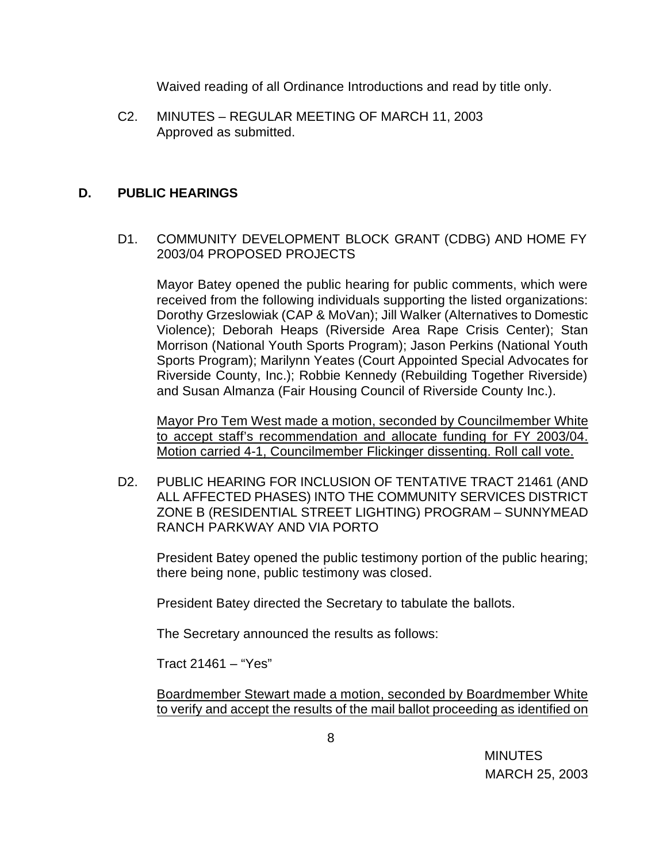Waived reading of all Ordinance Introductions and read by title only.

C2. MINUTES – REGULAR MEETING OF MARCH 11, 2003 Approved as submitted.

### **D. PUBLIC HEARINGS**

D1. COMMUNITY DEVELOPMENT BLOCK GRANT (CDBG) AND HOME FY 2003/04 PROPOSED PROJECTS

Mayor Batey opened the public hearing for public comments, which were received from the following individuals supporting the listed organizations: Dorothy Grzeslowiak (CAP & MoVan); Jill Walker (Alternatives to Domestic Violence); Deborah Heaps (Riverside Area Rape Crisis Center); Stan Morrison (National Youth Sports Program); Jason Perkins (National Youth Sports Program); Marilynn Yeates (Court Appointed Special Advocates for Riverside County, Inc.); Robbie Kennedy (Rebuilding Together Riverside) and Susan Almanza (Fair Housing Council of Riverside County Inc.).

Mayor Pro Tem West made a motion, seconded by Councilmember White to accept staff's recommendation and allocate funding for FY 2003/04. Motion carried 4-1, Councilmember Flickinger dissenting. Roll call vote.

D2. PUBLIC HEARING FOR INCLUSION OF TENTATIVE TRACT 21461 (AND ALL AFFECTED PHASES) INTO THE COMMUNITY SERVICES DISTRICT ZONE B (RESIDENTIAL STREET LIGHTING) PROGRAM – SUNNYMEAD RANCH PARKWAY AND VIA PORTO

President Batey opened the public testimony portion of the public hearing; there being none, public testimony was closed.

President Batey directed the Secretary to tabulate the ballots.

The Secretary announced the results as follows:

Tract 21461 – "Yes"

Boardmember Stewart made a motion, seconded by Boardmember White to verify and accept the results of the mail ballot proceeding as identified on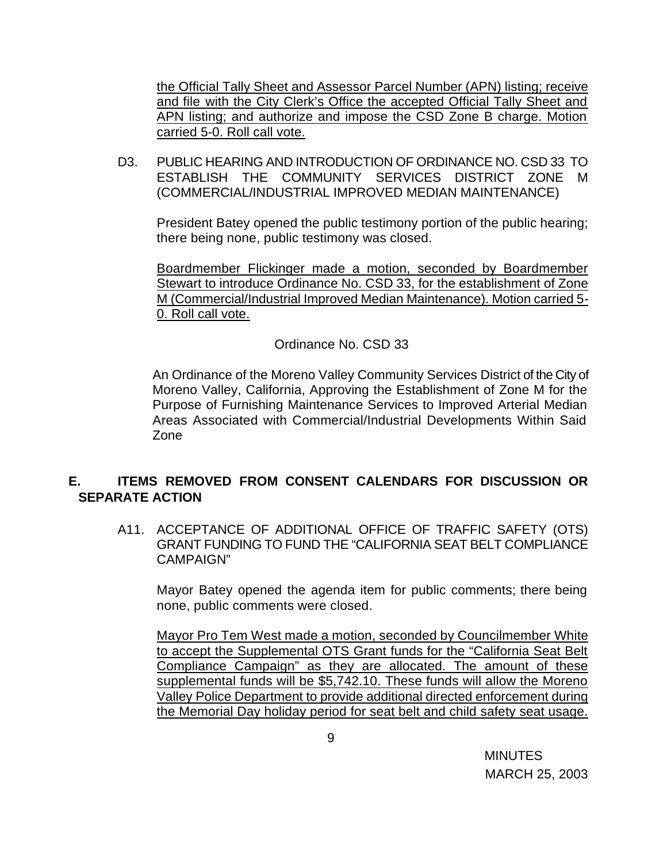the Official Tally Sheet and Assessor Parcel Number (APN) listing; receive and file with the City Clerk's Office the accepted Official Tally Sheet and APN listing; and authorize and impose the CSD Zone B charge. Motion carried 5-0. Roll call vote.

D3. PUBLIC HEARING AND INTRODUCTION OF ORDINANCE NO. CSD 33 TO ESTABLISH THE COMMUNITY SERVICES DISTRICT ZONE M (COMMERCIAL/INDUSTRIAL IMPROVED MEDIAN MAINTENANCE)

President Batey opened the public testimony portion of the public hearing; there being none, public testimony was closed.

Boardmember Flickinger made a motion, seconded by Boardmember Stewart to introduce Ordinance No. CSD 33, for the establishment of Zone M (Commercial/Industrial Improved Median Maintenance). Motion carried 5- 0. Roll call vote.

#### Ordinance No. CSD 33

An Ordinance of the Moreno Valley Community Services District of the City of Moreno Valley, California, Approving the Establishment of Zone M for the Purpose of Furnishing Maintenance Services to Improved Arterial Median Areas Associated with Commercial/Industrial Developments Within Said Zone

## **E. ITEMS REMOVED FROM CONSENT CALENDARS FOR DISCUSSION OR SEPARATE ACTION**

A11. ACCEPTANCE OF ADDITIONAL OFFICE OF TRAFFIC SAFETY (OTS) GRANT FUNDING TO FUND THE "CALIFORNIA SEAT BELT COMPLIANCE CAMPAIGN"

Mayor Batey opened the agenda item for public comments; there being none, public comments were closed.

Mayor Pro Tem West made a motion, seconded by Councilmember White to accept the Supplemental OTS Grant funds for the "California Seat Belt Compliance Campaign" as they are allocated. The amount of these supplemental funds will be \$5,742.10. These funds will allow the Moreno Valley Police Department to provide additional directed enforcement during the Memorial Day holiday period for seat belt and child safety seat usage.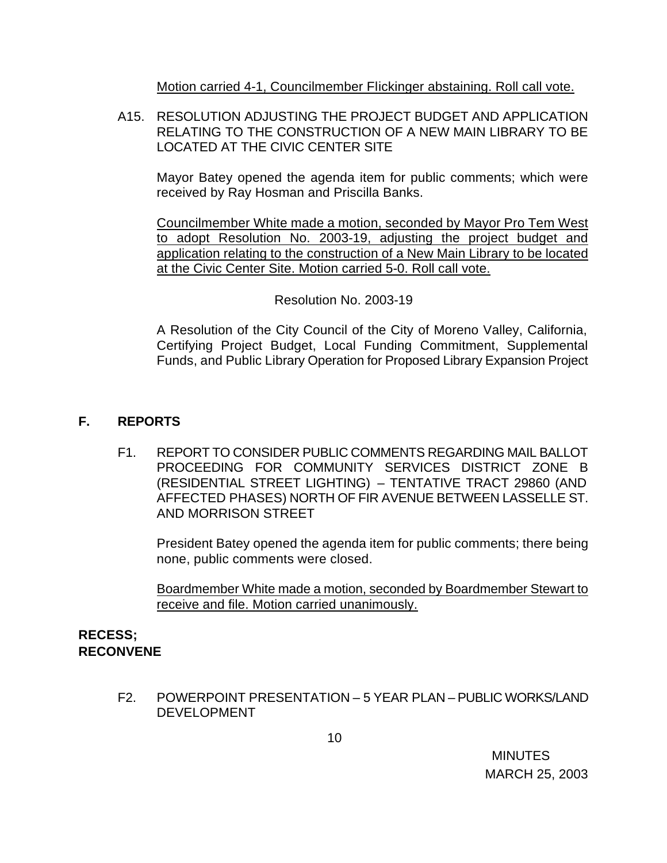Motion carried 4-1, Councilmember Flickinger abstaining. Roll call vote.

A15. RESOLUTION ADJUSTING THE PROJECT BUDGET AND APPLICATION RELATING TO THE CONSTRUCTION OF A NEW MAIN LIBRARY TO BE LOCATED AT THE CIVIC CENTER SITE

Mayor Batey opened the agenda item for public comments; which were received by Ray Hosman and Priscilla Banks.

Councilmember White made a motion, seconded by Mayor Pro Tem West to adopt Resolution No. 2003-19, adjusting the project budget and application relating to the construction of a New Main Library to be located at the Civic Center Site. Motion carried 5-0. Roll call vote.

Resolution No. 2003-19

A Resolution of the City Council of the City of Moreno Valley, California, Certifying Project Budget, Local Funding Commitment, Supplemental Funds, and Public Library Operation for Proposed Library Expansion Project

# **F. REPORTS**

F1. REPORT TO CONSIDER PUBLIC COMMENTS REGARDING MAIL BALLOT PROCEEDING FOR COMMUNITY SERVICES DISTRICT ZONE B (RESIDENTIAL STREET LIGHTING) – TENTATIVE TRACT 29860 (AND AFFECTED PHASES) NORTH OF FIR AVENUE BETWEEN LASSELLE ST. AND MORRISON STREET

President Batey opened the agenda item for public comments; there being none, public comments were closed.

Boardmember White made a motion, seconded by Boardmember Stewart to receive and file. Motion carried unanimously.

## **RECESS; RECONVENE**

F2. POWERPOINT PRESENTATION – 5 YEAR PLAN – PUBLIC WORKS/LAND DEVELOPMENT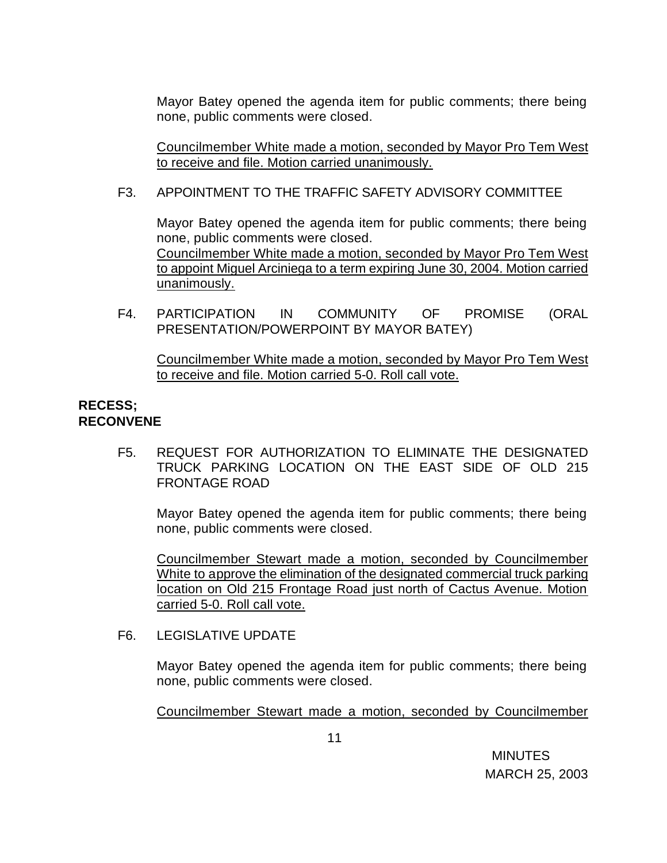Mayor Batey opened the agenda item for public comments; there being none, public comments were closed.

Councilmember White made a motion, seconded by Mayor Pro Tem West to receive and file. Motion carried unanimously.

## F3. APPOINTMENT TO THE TRAFFIC SAFETY ADVISORY COMMITTEE

Mayor Batey opened the agenda item for public comments; there being none, public comments were closed. Councilmember White made a motion, seconded by Mayor Pro Tem West to appoint Miguel Arciniega to a term expiring June 30, 2004. Motion carried unanimously.

F4. PARTICIPATION IN COMMUNITY OF PROMISE (ORAL PRESENTATION/POWERPOINT BY MAYOR BATEY)

Councilmember White made a motion, seconded by Mayor Pro Tem West to receive and file. Motion carried 5-0. Roll call vote.

#### **RECESS; RECONVENE**

F5. REQUEST FOR AUTHORIZATION TO ELIMINATE THE DESIGNATED TRUCK PARKING LOCATION ON THE EAST SIDE OF OLD 215 FRONTAGE ROAD

Mayor Batey opened the agenda item for public comments; there being none, public comments were closed.

Councilmember Stewart made a motion, seconded by Councilmember White to approve the elimination of the designated commercial truck parking location on Old 215 Frontage Road just north of Cactus Avenue. Motion carried 5-0. Roll call vote.

#### F6. LEGISLATIVE UPDATE

Mayor Batey opened the agenda item for public comments; there being none, public comments were closed.

Councilmember Stewart made a motion, seconded by Councilmember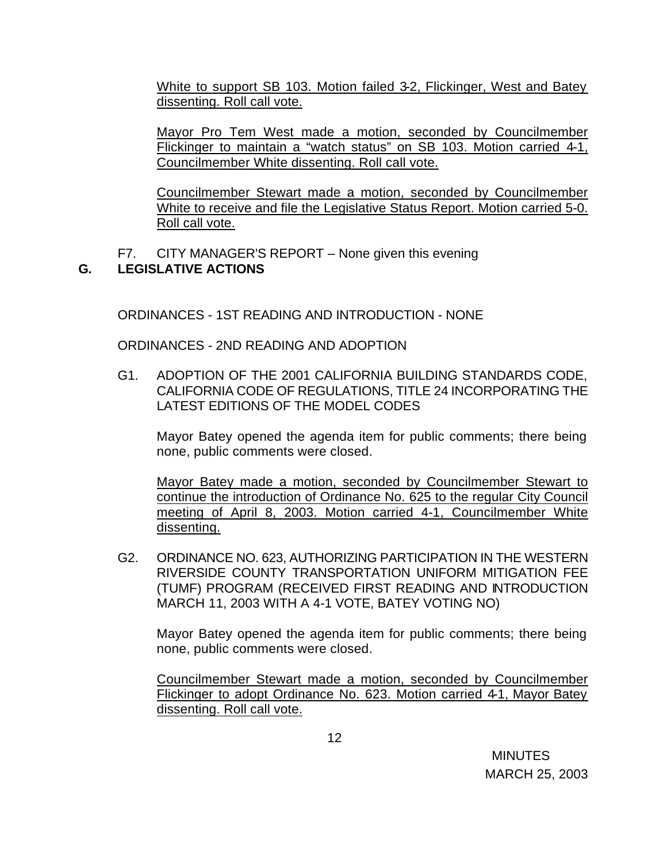White to support SB 103. Motion failed 3-2, Flickinger, West and Batey dissenting. Roll call vote.

Mayor Pro Tem West made a motion, seconded by Councilmember Flickinger to maintain a "watch status" on SB 103. Motion carried 4-1, Councilmember White dissenting. Roll call vote.

Councilmember Stewart made a motion, seconded by Councilmember White to receive and file the Legislative Status Report. Motion carried 5-0. Roll call vote.

F7. CITY MANAGER'S REPORT – None given this evening

# **G. LEGISLATIVE ACTIONS**

ORDINANCES - 1ST READING AND INTRODUCTION - NONE

ORDINANCES - 2ND READING AND ADOPTION

G1. ADOPTION OF THE 2001 CALIFORNIA BUILDING STANDARDS CODE, CALIFORNIA CODE OF REGULATIONS, TITLE 24 INCORPORATING THE LATEST EDITIONS OF THE MODEL CODES

Mayor Batey opened the agenda item for public comments; there being none, public comments were closed.

Mayor Batey made a motion, seconded by Councilmember Stewart to continue the introduction of Ordinance No. 625 to the regular City Council meeting of April 8, 2003. Motion carried 4-1, Councilmember White dissenting.

G2. ORDINANCE NO. 623, AUTHORIZING PARTICIPATION IN THE WESTERN RIVERSIDE COUNTY TRANSPORTATION UNIFORM MITIGATION FEE (TUMF) PROGRAM (RECEIVED FIRST READING AND INTRODUCTION MARCH 11, 2003 WITH A 4-1 VOTE, BATEY VOTING NO)

Mayor Batey opened the agenda item for public comments; there being none, public comments were closed.

Councilmember Stewart made a motion, seconded by Councilmember Flickinger to adopt Ordinance No. 623. Motion carried 4-1, Mayor Batey dissenting. Roll call vote.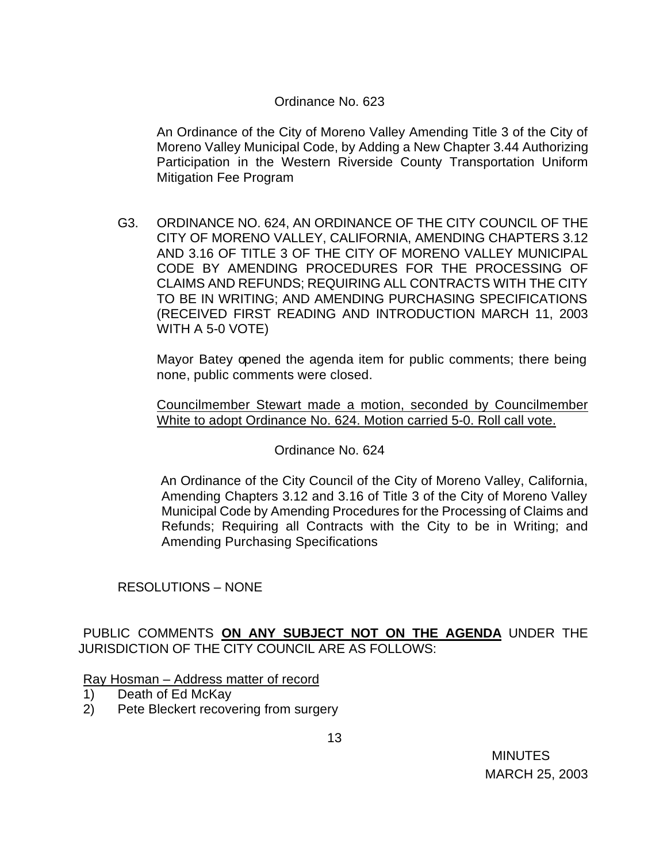### Ordinance No. 623

An Ordinance of the City of Moreno Valley Amending Title 3 of the City of Moreno Valley Municipal Code, by Adding a New Chapter 3.44 Authorizing Participation in the Western Riverside County Transportation Uniform Mitigation Fee Program

G3. ORDINANCE NO. 624, AN ORDINANCE OF THE CITY COUNCIL OF THE CITY OF MORENO VALLEY, CALIFORNIA, AMENDING CHAPTERS 3.12 AND 3.16 OF TITLE 3 OF THE CITY OF MORENO VALLEY MUNICIPAL CODE BY AMENDING PROCEDURES FOR THE PROCESSING OF CLAIMS AND REFUNDS; REQUIRING ALL CONTRACTS WITH THE CITY TO BE IN WRITING; AND AMENDING PURCHASING SPECIFICATIONS (RECEIVED FIRST READING AND INTRODUCTION MARCH 11, 2003 WITH A 5-0 VOTE)

Mayor Batey opened the agenda item for public comments; there being none, public comments were closed.

Councilmember Stewart made a motion, seconded by Councilmember White to adopt Ordinance No. 624. Motion carried 5-0. Roll call vote.

#### Ordinance No. 624

 An Ordinance of the City Council of the City of Moreno Valley, California, Amending Chapters 3.12 and 3.16 of Title 3 of the City of Moreno Valley Municipal Code by Amending Procedures for the Processing of Claims and Refunds; Requiring all Contracts with the City to be in Writing; and Amending Purchasing Specifications

## RESOLUTIONS – NONE

PUBLIC COMMENTS **ON ANY SUBJECT NOT ON THE AGENDA** UNDER THE JURISDICTION OF THE CITY COUNCIL ARE AS FOLLOWS:

#### Ray Hosman – Address matter of record

- 1) Death of Ed McKay
- 2) Pete Bleckert recovering from surgery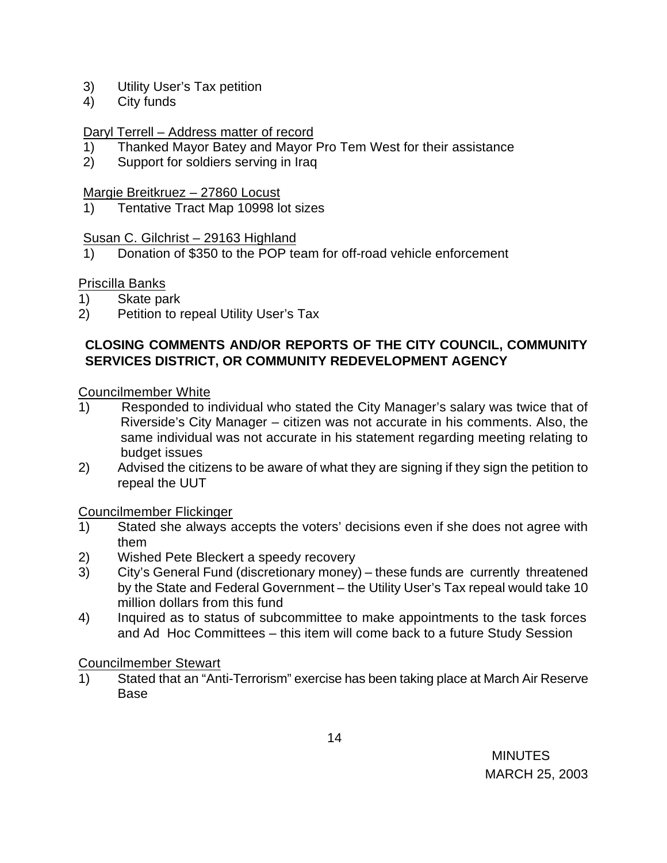- 3) Utility User's Tax petition
- 4) City funds

#### Daryl Terrell – Address matter of record

- 1) Thanked Mayor Batey and Mayor Pro Tem West for their assistance
- 2) Support for soldiers serving in Iraq

#### Margie Breitkruez – 27860 Locust

1) Tentative Tract Map 10998 lot sizes

#### Susan C. Gilchrist - 29163 Highland

1) Donation of \$350 to the POP team for off-road vehicle enforcement

## Priscilla Banks

- 1) Skate park
- 2) Petition to repeal Utility User's Tax

### **CLOSING COMMENTS AND/OR REPORTS OF THE CITY COUNCIL, COMMUNITY SERVICES DISTRICT, OR COMMUNITY REDEVELOPMENT AGENCY**

#### Councilmember White

- 1) Responded to individual who stated the City Manager's salary was twice that of Riverside's City Manager – citizen was not accurate in his comments. Also, the same individual was not accurate in his statement regarding meeting relating to budget issues
- 2) Advised the citizens to be aware of what they are signing if they sign the petition to repeal the UUT

## Councilmember Flickinger

- 1) Stated she always accepts the voters' decisions even if she does not agree with them
- 2) Wished Pete Bleckert a speedy recovery
- 3) City's General Fund (discretionary money) these funds are currently threatened by the State and Federal Government – the Utility User's Tax repeal would take 10 million dollars from this fund
- 4) Inquired as to status of subcommittee to make appointments to the task forces and Ad Hoc Committees – this item will come back to a future Study Session

#### Councilmember Stewart

1) Stated that an "Anti-Terrorism" exercise has been taking place at March Air Reserve Base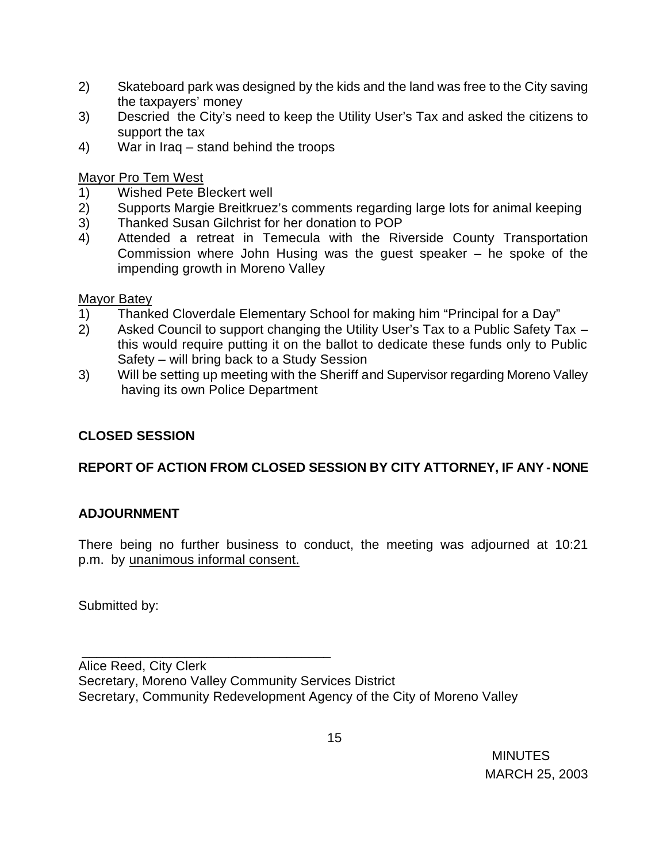- 2) Skateboard park was designed by the kids and the land was free to the City saving the taxpayers' money
- 3) Descried the City's need to keep the Utility User's Tax and asked the citizens to support the tax
- 4) War in Iraq stand behind the troops

Mayor Pro Tem West

- 1) Wished Pete Bleckert well
- 2) Supports Margie Breitkruez's comments regarding large lots for animal keeping
- 3) Thanked Susan Gilchrist for her donation to POP
- 4) Attended a retreat in Temecula with the Riverside County Transportation Commission where John Husing was the guest speaker – he spoke of the impending growth in Moreno Valley

## Mayor Batey

- 1) Thanked Cloverdale Elementary School for making him "Principal for a Day"
- 2) Asked Council to support changing the Utility User's Tax to a Public Safety Tax this would require putting it on the ballot to dedicate these funds only to Public Safety – will bring back to a Study Session
- 3) Will be setting up meeting with the Sheriff and Supervisor regarding Moreno Valley having its own Police Department

# **CLOSED SESSION**

# **REPORT OF ACTION FROM CLOSED SESSION BY CITY ATTORNEY, IF ANY - NONE**

# **ADJOURNMENT**

There being no further business to conduct, the meeting was adjourned at 10:21 p.m. by unanimous informal consent.

Submitted by:

 $\overline{\phantom{a}}$  , and the contract of the contract of the contract of the contract of the contract of the contract of the contract of the contract of the contract of the contract of the contract of the contract of the contrac

Alice Reed, City Clerk Secretary, Moreno Valley Community Services District Secretary, Community Redevelopment Agency of the City of Moreno Valley